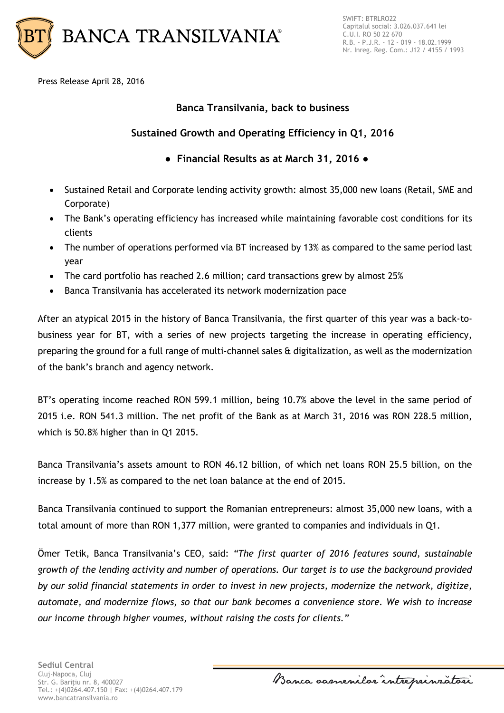

Press Release April 28, 2016

# **Banca Transilvania, back to business**

# **Sustained Growth and Operating Efficiency in Q1, 2016**

- **Financial Results as at March 31, 2016**
- Sustained Retail and Corporate lending activity growth: almost 35,000 new loans (Retail, SME and Corporate)
- The Bank's operating efficiency has increased while maintaining favorable cost conditions for its clients
- The number of operations performed via BT increased by 13% as compared to the same period last year
- The card portfolio has reached 2.6 million; card transactions grew by almost 25%
- Banca Transilvania has accelerated its network modernization pace

After an atypical 2015 in the history of Banca Transilvania, the first quarter of this year was a back-tobusiness year for BT, with a series of new projects targeting the increase in operating efficiency, preparing the ground for a full range of multi-channel sales & digitalization, as well as the modernization of the bank's branch and agency network.

BT's operating income reached RON 599.1 million, being 10.7% above the level in the same period of 2015 i.e. RON 541.3 million. The net profit of the Bank as at March 31, 2016 was RON 228.5 million, which is 50.8% higher than in Q1 2015.

Banca Transilvania's assets amount to RON 46.12 billion, of which net loans RON 25.5 billion, on the increase by 1.5% as compared to the net loan balance at the end of 2015.

Banca Transilvania continued to support the Romanian entrepreneurs: almost 35,000 new loans, with a total amount of more than RON 1,377 million, were granted to companies and individuals in Q1.

Ömer Tetik, Banca Transilvania's CEO, said: *"The first quarter of 2016 features sound, sustainable growth of the lending activity and number of operations. Our target is to use the background provided by our solid financial statements in order to invest in new projects, modernize the network, digitize, automate, and modernize flows, so that our bank becomes a convenience store. We wish to increase our income through higher voumes, without raising the costs for clients."*

Banca samenilar intreprinzatori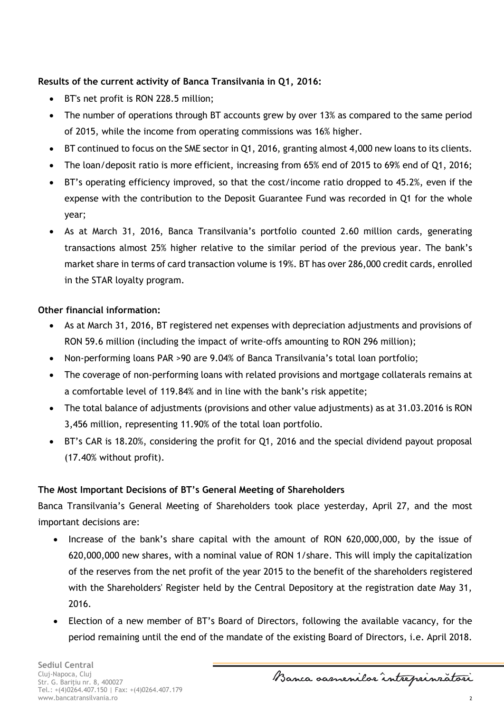## **Results of the current activity of Banca Transilvania in Q1, 2016:**

- BT's net profit is RON 228.5 million;
- The number of operations through BT accounts grew by over 13% as compared to the same period of 2015, while the income from operating commissions was 16% higher.
- BT continued to focus on the SME sector in Q1, 2016, granting almost 4,000 new loans to its clients.
- The loan/deposit ratio is more efficient, increasing from 65% end of 2015 to 69% end of Q1, 2016;
- BT's operating efficiency improved, so that the cost/income ratio dropped to 45.2%, even if the expense with the contribution to the Deposit Guarantee Fund was recorded in Q1 for the whole year;
- As at March 31, 2016, Banca Transilvania's portfolio counted 2.60 million cards, generating transactions almost 25% higher relative to the similar period of the previous year. The bank's market share in terms of card transaction volume is 19%. BT has over 286,000 credit cards, enrolled in the STAR loyalty program.

## **Other financial information:**

- As at March 31, 2016, BT registered net expenses with depreciation adjustments and provisions of RON 59.6 million (including the impact of write-offs amounting to RON 296 million);
- Non-performing loans PAR >90 are 9.04% of Banca Transilvania's total loan portfolio;
- The coverage of non-performing loans with related provisions and mortgage collaterals remains at a comfortable level of 119.84% and in line with the bank's risk appetite;
- The total balance of adjustments (provisions and other value adjustments) as at 31.03.2016 is RON 3,456 million, representing 11.90% of the total loan portfolio.
- BT's CAR is 18.20%, considering the profit for Q1, 2016 and the special dividend payout proposal (17.40% without profit).

#### **The Most Important Decisions of BT's General Meeting of Shareholders**

Banca Transilvania's General Meeting of Shareholders took place yesterday, April 27, and the most important decisions are:

- Increase of the bank's share capital with the amount of RON 620,000,000, by the issue of 620,000,000 new shares, with a nominal value of RON 1/share. This will imply the capitalization of the reserves from the net profit of the year 2015 to the benefit of the shareholders registered with the Shareholders' Register held by the Central Depository at the registration date May 31, 2016.
- Election of a new member of BT's Board of Directors, following the available vacancy, for the period remaining until the end of the mandate of the existing Board of Directors, i.e. April 2018.

Banca samenilor intreprinratori

2